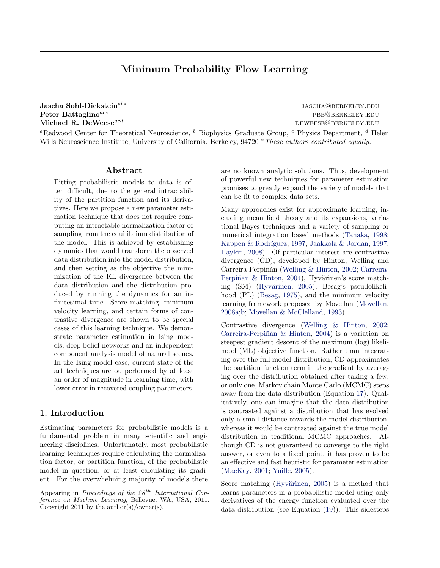## Minimum Probability Flow Learning

Jascha Sohl-Dickstein<sup>ab∗</sup> Peter Battaglino<sup>ac∗</sup> pbb@berkeley.edu Michael R. DeWeese $^{acd}$  deweese $^{acd}$ 

jascha@berkeley.edu

<sup>a</sup>Redwood Center for Theoretical Neuroscience,  $\bar{b}$  Biophysics Graduate Group,  $\bar{c}$  Physics Department,  $\bar{d}$  Helen Wills Neuroscience Institute, University of California, Berkeley, 94720 <sup>∗</sup>These authors contributed equally.

### Abstract

Fitting probabilistic models to data is often difficult, due to the general intractability of the partition function and its derivatives. Here we propose a new parameter estimation technique that does not require computing an intractable normalization factor or sampling from the equilibrium distribution of the model. This is achieved by establishing dynamics that would transform the observed data distribution into the model distribution, and then setting as the objective the minimization of the KL divergence between the data distribution and the distribution produced by running the dynamics for an infinitesimal time. Score matching, minimum velocity learning, and certain forms of contrastive divergence are shown to be special cases of this learning technique. We demonstrate parameter estimation in Ising models, deep belief networks and an independent component analysis model of natural scenes. In the Ising model case, current state of the art techniques are outperformed by at least an order of magnitude in learning time, with lower error in recovered coupling parameters.

## 1. Introduction

Estimating parameters for probabilistic models is a fundamental problem in many scientific and engineering disciplines. Unfortunately, most probabilistic learning techniques require calculating the normalization factor, or partition function, of the probabilistic model in question, or at least calculating its gradient. For the overwhelming majority of models there are no known analytic solutions. Thus, development of powerful new techniques for parameter estimation promises to greatly expand the variety of models that can be fit to complex data sets.

Many approaches exist for approximate learning, including mean field theory and its expansions, variational Bayes techniques and a variety of sampling or numerical integration based methods [\(Tanaka,](#page-7-0) [1998;](#page-7-0) Kappen & Rodríguez, [1997;](#page-7-0) [Jaakkola & Jordan,](#page-7-0) 1997; [Haykin,](#page-7-0) [2008\)](#page-7-0). Of particular interest are contrastive divergence (CD), developed by Hinton, Welling and Carreira-Perpiñán [\(Welling & Hinton,](#page-7-0) [2002;](#page-7-0) [Carreira-](#page-7-0)Perpiñán & Hinton, [2004\)](#page-7-0), Hyvärinen's score match-ing (SM) (Hyvärinen, [2005\)](#page-7-0), Besag's pseudolikelihood (PL) [\(Besag,](#page-7-0) [1975\)](#page-7-0), and the minimum velocity learning framework proposed by Movellan [\(Movellan,](#page-7-0) [2008a;b;](#page-7-0) [Movellan & McClelland,](#page-7-0) [1993\)](#page-7-0).

Contrastive divergence [\(Welling & Hinton,](#page-7-0) [2002;](#page-7-0) Carreira-Perpiñán & Hinton, [2004\)](#page-7-0) is a variation on steepest gradient descent of the maximum (log) likelihood (ML) objective function. Rather than integrating over the full model distribution, CD approximates the partition function term in the gradient by averaging over the distribution obtained after taking a few, or only one, Markov chain Monte Carlo (MCMC) steps away from the data distribution (Equation [17\)](#page-4-0). Qualitatively, one can imagine that the data distribution is contrasted against a distribution that has evolved only a small distance towards the model distribution, whereas it would be contrasted against the true model distribution in traditional MCMC approaches. Although CD is not guaranteed to converge to the right answer, or even to a fixed point, it has proven to be an effective and fast heuristic for parameter estimation [\(MacKay,](#page-7-0) [2001;](#page-7-0) [Yuille,](#page-7-0) [2005\)](#page-7-0).

Score matching (Hyvärinen, [2005\)](#page-7-0) is a method that learns parameters in a probabilistic model using only derivatives of the energy function evaluated over the data distribution (see Equation [\(19\)](#page-4-0)). This sidesteps

Appearing in Proceedings of the  $28^{th}$  International Conference on Machine Learning, Bellevue, WA, USA, 2011. Copyright 2011 by the author(s)/owner(s).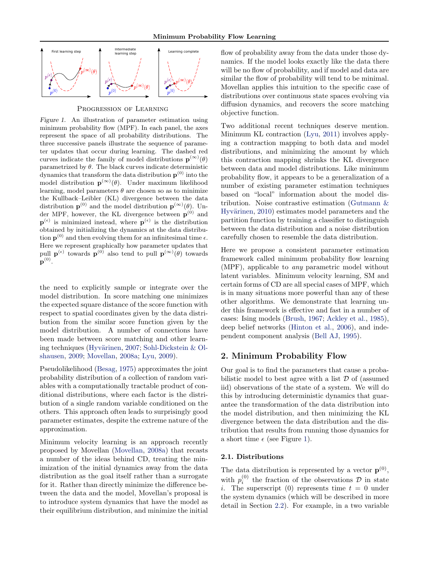

Progression of Learning

Figure 1. An illustration of parameter estimation using minimum probability flow (MPF). In each panel, the axes represent the space of all probability distributions. The three successive panels illustrate the sequence of parameter updates that occur during learning. The dashed red curves indicate the family of model distributions  $\mathbf{p}^{(\infty)}(\theta)$ parametrized by  $\theta$ . The black curves indicate deterministic dynamics that transform the data distribution  $p^{(0)}$  into the model distribution  $\mathbf{p}^{(\infty)}(\theta)$ . Under maximum likelihood learning, model parameters  $\theta$  are chosen so as to minimize the Kullback–Leibler (KL) divergence between the data distribution  $\mathbf{p}^{(0)}$  and the model distribution  $\mathbf{p}^{(\infty)}(\theta)$ . Under MPF, however, the KL divergence between  $p^{(0)}$  and  $\mathbf{p}^{(\epsilon)}$  is minimized instead, where  $\mathbf{p}^{(\epsilon)}$  is the distribution obtained by initializing the dynamics at the data distribution  $p^{(0)}$  and then evolving them for an infinitesimal time  $\epsilon$ . Here we represent graphically how parameter updates that pull  $\mathbf{p}^{(\epsilon)}$  towards  $\mathbf{p}^{(0)}$  also tend to pull  $\mathbf{p}^{(\infty)}(\theta)$  towards  $\mathbf{p}^{(0)}.$ 

the need to explicitly sample or integrate over the model distribution. In score matching one minimizes the expected square distance of the score function with respect to spatial coordinates given by the data distribution from the similar score function given by the model distribution. A number of connections have been made between score matching and other learn-ing techniques (Hyvärinen, [2007;](#page-7-0) Sohl-Dickstein  $&$  Ol[shausen,](#page-7-0) [2009;](#page-7-0) [Movellan,](#page-7-0) [2008a;](#page-7-0) [Lyu,](#page-7-0) [2009\)](#page-7-0).

Pseudolikelihood [\(Besag,](#page-7-0) [1975\)](#page-7-0) approximates the joint probability distribution of a collection of random variables with a computationally tractable product of conditional distributions, where each factor is the distribution of a single random variable conditioned on the others. This approach often leads to surprisingly good parameter estimates, despite the extreme nature of the approximation.

Minimum velocity learning is an approach recently proposed by Movellan [\(Movellan,](#page-7-0) [2008a\)](#page-7-0) that recasts a number of the ideas behind CD, treating the minimization of the initial dynamics away from the data distribution as the goal itself rather than a surrogate for it. Rather than directly minimize the difference between the data and the model, Movellan's proposal is to introduce system dynamics that have the model as their equilibrium distribution, and minimize the initial flow of probability away from the data under those dynamics. If the model looks exactly like the data there will be no flow of probability, and if model and data are similar the flow of probability will tend to be minimal. Movellan applies this intuition to the specific case of distributions over continuous state spaces evolving via diffusion dynamics, and recovers the score matching objective function.

Two additional recent techniques deserve mention. Minimum KL contraction [\(Lyu,](#page-7-0) [2011\)](#page-7-0) involves applying a contraction mapping to both data and model distributions, and minimizing the amount by which this contraction mapping shrinks the KL divergence between data and model distributions. Like minimum probability flow, it appears to be a generalization of a number of existing parameter estimation techniques based on "local" information about the model distribution. Noise contrastive estimation [\(Gutmann &](#page-7-0) Hyvärinen, [2010\)](#page-7-0) estimates model parameters and the partition function by training a classifier to distinguish between the data distribution and a noise distribution carefully chosen to resemble the data distribution.

Here we propose a consistent parameter estimation framework called minimum probability flow learning (MPF), applicable to any parametric model without latent variables. Minimum velocity learning, SM and certain forms of CD are all special cases of MPF, which is in many situations more powerful than any of these other algorithms. We demonstrate that learning under this framework is effective and fast in a number of cases: Ising models [\(Brush,](#page-7-0) [1967;](#page-7-0) [Ackley et al.,](#page-7-0) [1985\)](#page-7-0), deep belief networks [\(Hinton et al.,](#page-7-0) [2006\)](#page-7-0), and independent component analysis [\(Bell AJ,](#page-7-0) [1995\)](#page-7-0).

## 2. Minimum Probability Flow

Our goal is to find the parameters that cause a probabilistic model to best agree with a list  $D$  of (assumed iid) observations of the state of a system. We will do this by introducing deterministic dynamics that guarantee the transformation of the data distribution into the model distribution, and then minimizing the KL divergence between the data distribution and the distribution that results from running those dynamics for a short time  $\epsilon$  (see Figure 1).

### 2.1. Distributions

The data distribution is represented by a vector  $\mathbf{p}^{(0)}$ , with  $p_i^{(0)}$  the fraction of the observations  $D$  in state i. The superscript (0) represents time  $t = 0$  under the system dynamics (which will be described in more detail in Section [2.2\)](#page-2-0). For example, in a two variable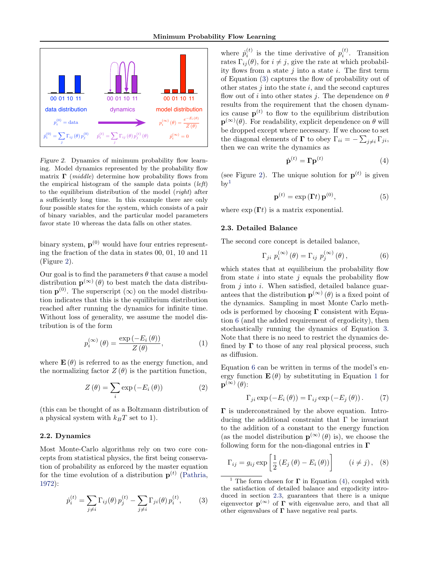<span id="page-2-0"></span>

Figure 2. Dynamics of minimum probability flow learning. Model dynamics represented by the probability flow matrix  $\Gamma$  (*middle*) determine how probability flows from the empirical histogram of the sample data points  $(left)$ to the equilibrium distribution of the model (right) after a sufficiently long time. In this example there are only four possible states for the system, which consists of a pair of binary variables, and the particular model parameters favor state 10 whereas the data falls on other states.

binary system,  $p^{(0)}$  would have four entries representing the fraction of the data in states 00, 01, 10 and 11 (Figure 2).

Our goal is to find the parameters  $\theta$  that cause a model distribution  $\mathbf{p}^{(\infty)}(\theta)$  to best match the data distribution  $p^{(0)}$ . The superscript  $(\infty)$  on the model distribution indicates that this is the equilibrium distribution reached after running the dynamics for infinite time. Without loss of generality, we assume the model distribution is of the form

$$
p_i^{(\infty)}(\theta) = \frac{\exp(-E_i(\theta))}{Z(\theta)},
$$
\n(1)

where  $\mathbf{E}(\theta)$  is referred to as the energy function, and the normalizing factor  $Z(\theta)$  is the partition function,

$$
Z(\theta) = \sum_{i} \exp(-E_i(\theta))
$$
 (2)

(this can be thought of as a Boltzmann distribution of a physical system with  $k_BT$  set to 1).

## 2.2. Dynamics

Most Monte-Carlo algorithms rely on two core concepts from statistical physics, the first being conservation of probability as enforced by the master equation for the time evolution of a distribution  $p^{(t)}$  [\(Pathria,](#page-7-0) [1972\)](#page-7-0):

$$
\dot{p}_i^{(t)} = \sum_{j \neq i} \Gamma_{ij}(\theta) p_j^{(t)} - \sum_{j \neq i} \Gamma_{ji}(\theta) p_i^{(t)}, \quad (3)
$$

where  $\dot{p}_i^{(t)}$  is the time derivative of  $p_i^{(t)}$ . Transition rates  $\Gamma_{ij}(\theta)$ , for  $i \neq j$ , give the rate at which probability flows from a state  $j$  into a state  $i$ . The first term of Equation (3) captures the flow of probability out of other states  $j$  into the state  $i$ , and the second captures flow out of i into other states j. The dependence on  $\theta$ results from the requirement that the chosen dynamics cause  $p^{(t)}$  to flow to the equilibrium distribution  $\mathbf{p}^{(\infty)}(\theta)$ . For readability, explicit dependence on  $\theta$  will be dropped except where necessary. If we choose to set the diagonal elements of **Γ** to obey  $\Gamma_{ii} = -\sum_{j\neq i} \Gamma_{ji}$ , then we can write the dynamics as

$$
\dot{\mathbf{p}}^{(t)} = \mathbf{\Gamma} \mathbf{p}^{(t)} \tag{4}
$$

(see Figure 2). The unique solution for  $p^{(t)}$  is given  $\rm{bv^1}$ 

$$
\mathbf{p}^{(t)} = \exp\left(\mathbf{\Gamma}t\right)\mathbf{p}^{(0)},\tag{5}
$$

where  $\exp(\mathbf{\Gamma}t)$  is a matrix exponential.

### 2.3. Detailed Balance

The second core concept is detailed balance,

$$
\Gamma_{ji} p_i^{(\infty)}(\theta) = \Gamma_{ij} p_j^{(\infty)}(\theta), \qquad (6)
$$

which states that at equilibrium the probability flow from state  $i$  into state  $j$  equals the probability flow from  $i$  into  $i$ . When satisfied, detailed balance guarantees that the distribution  $\mathbf{p}^{(\infty)}(\theta)$  is a fixed point of the dynamics. Sampling in most Monte Carlo methods is performed by choosing  $\Gamma$  consistent with Equation 6 (and the added requirement of ergodicity), then stochastically running the dynamics of Equation 3. Note that there is no need to restrict the dynamics defined by  $\Gamma$  to those of any real physical process, such as diffusion.

Equation 6 can be written in terms of the model's energy function  $\mathbf{E}(\theta)$  by substituting in Equation 1 for  $\mathbf{p}^{(\infty)}\left( \theta\right)$ :

$$
\Gamma_{ji} \exp(-E_i(\theta)) = \Gamma_{ij} \exp(-E_j(\theta)).
$$
 (7)

 $\Gamma$  is underconstrained by the above equation. Introducing the additional constraint that Γ be invariant to the addition of a constant to the energy function (as the model distribution  $\mathbf{p}^{(\infty)}(\theta)$  is), we choose the following form for the non-diagonal entries in  $\Gamma$ 

$$
\Gamma_{ij} = g_{ij} \exp\left[\frac{1}{2}\left(E_j\left(\theta\right) - E_i\left(\theta\right)\right)\right] \qquad (i \neq j), \quad (8)
$$

<sup>&</sup>lt;sup>1</sup> The form chosen for  $\Gamma$  in Equation (4), coupled with the satisfaction of detailed balance and ergodicity introduced in section 2.3, guarantees that there is a unique eigenvector  $p^{(\infty)}$  of  $\Gamma$  with eigenvalue zero, and that all other eigenvalues of  $\Gamma$  have negative real parts.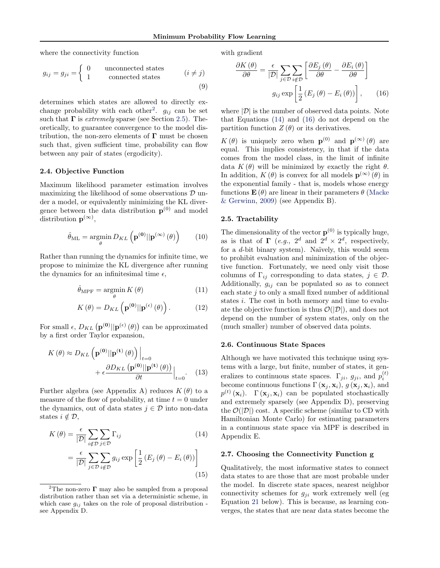<span id="page-3-0"></span>where the connectivity function

$$
g_{ij} = g_{ji} = \begin{cases} 0 & \text{unconnected states} \\ 1 & \text{connected states} \end{cases} \qquad (i \neq j)
$$
 (9)

determines which states are allowed to directly exchange probability with each other<sup>2</sup>.  $g_{ij}$  can be set such that  $\Gamma$  is *extremely* sparse (see Section 2.5). Theoretically, to guarantee convergence to the model distribution, the non-zero elements of  $\Gamma$  must be chosen such that, given sufficient time, probability can flow between any pair of states (ergodicity).

#### 2.4. Objective Function

Maximum likelihood parameter estimation involves maximizing the likelihood of some observations  $\mathcal D$  under a model, or equivalently minimizing the KL divergence between the data distribution  $p^{(0)}$  and model distribution  $\mathbf{p}^{(\infty)}$ ,

$$
\hat{\theta}_{\mathrm{ML}} = \underset{\theta}{\operatorname{argmin}} \, D_{KL} \left( \mathbf{p}^{(0)} || \mathbf{p}^{(\infty)} \left( \theta \right) \right) \tag{10}
$$

Rather than running the dynamics for infinite time, we propose to minimize the KL divergence after running the dynamics for an infinitesimal time  $\epsilon$ ,

$$
\hat{\theta}_{\text{MPF}} = \underset{\theta}{\text{argmin}} K(\theta) \tag{11}
$$

$$
K(\theta) = D_{KL}\left(\mathbf{p}^{(0)}||\mathbf{p}^{(\epsilon)}(\theta)\right). \tag{12}
$$

For small  $\epsilon$ ,  $D_{KL}(\mathbf{p}^{(0)}||\mathbf{p}^{(\epsilon)}(\theta))$  can be approximated by a first order Taylor expansion,

$$
K(\theta) \approx D_{KL} \left( \mathbf{p}^{(0)} || \mathbf{p}^{(t)}(\theta) \right) \Big|_{t=0}
$$

$$
+ \epsilon \frac{\partial D_{KL} \left( \mathbf{p}^{(0)} || \mathbf{p}^{(t)}(\theta) \right)}{\partial t} \Big|_{t=0}.
$$
 (13)

Further algebra (see Appendix A) reduces  $K(\theta)$  to a measure of the flow of probability, at time  $t = 0$  under the dynamics, out of data states  $j \in \mathcal{D}$  into non-data states  $i \notin \mathcal{D}$ ,

$$
K(\theta) = \frac{\epsilon}{|\mathcal{D}|} \sum_{i \notin \mathcal{D}} \sum_{j \in \mathcal{D}} \Gamma_{ij}
$$
(14)  

$$
= \frac{\epsilon}{|\mathcal{D}|} \sum_{j \in \mathcal{D}} \sum_{i \notin \mathcal{D}} g_{ij} \exp\left[\frac{1}{2} \left(E_j(\theta) - E_i(\theta)\right)\right]
$$
(15)

with gradient

$$
\frac{\partial K(\theta)}{\partial \theta} = \frac{\epsilon}{|\mathcal{D}|} \sum_{j \in \mathcal{D}} \sum_{i \notin \mathcal{D}} \left[ \frac{\partial E_j(\theta)}{\partial \theta} - \frac{\partial E_i(\theta)}{\partial \theta} \right]
$$

$$
g_{ij} \exp\left[ \frac{1}{2} \left( E_j(\theta) - E_i(\theta) \right) \right], \qquad (16)
$$

where  $|\mathcal{D}|$  is the number of observed data points. Note that Equations (14) and (16) do not depend on the partition function  $Z(\theta)$  or its derivatives.

 $K(\theta)$  is uniquely zero when  $\mathbf{p}^{(0)}$  and  $\mathbf{p}^{(\infty)}(\theta)$  are equal. This implies consistency, in that if the data comes from the model class, in the limit of infinite data  $K(\theta)$  will be minimized by exactly the right  $\theta$ . In addition,  $K(\theta)$  is convex for all models  $\mathbf{p}^{(\infty)}(\theta)$  in the exponential family - that is, models whose energy functions  $\mathbf{E}(\theta)$  are linear in their parameters  $\theta$  [\(Macke](#page-7-0) [& Gerwinn,](#page-7-0) [2009\)](#page-7-0) (see Appendix B).

#### 2.5. Tractability

The dimensionality of the vector  $p^{(0)}$  is typically huge, as is that of  $\Gamma$  (e.g.,  $2^d$  and  $2^d \times 2^d$ , respectively, for a  $d$ -bit binary system). Naïvely, this would seem to prohibit evaluation and minimization of the objective function. Fortunately, we need only visit those columns of  $\Gamma_{ij}$  corresponding to data states,  $j \in \mathcal{D}$ . Additionally,  $g_{ij}$  can be populated so as to connect each state  $j$  to only a small fixed number of additional states i. The cost in both memory and time to evaluate the objective function is thus  $\mathcal{O}(|\mathcal{D}|)$ , and does not depend on the number of system states, only on the (much smaller) number of observed data points.

#### 2.6. Continuous State Spaces

Although we have motivated this technique using systems with a large, but finite, number of states, it generalizes to continuous state spaces.  $\Gamma_{ji}$ ,  $g_{ji}$ , and  $p_i^{(t)}$ become continuous functions  $\Gamma(\mathbf{x}_j, \mathbf{x}_i)$ ,  $g(\mathbf{x}_j, \mathbf{x}_i)$ , and  $p^{(t)}(\mathbf{x}_i)$ .  $\Gamma(\mathbf{x}_j, \mathbf{x}_i)$  can be populated stochastically and extremely sparsely (see Appendix D), preserving the  $\mathcal{O}(|\mathcal{D}|)$  cost. A specific scheme (similar to CD with Hamiltonian Monte Carlo) for estimating parameters in a continuous state space via MPF is described in Appendix E.

#### 2.7. Choosing the Connectivity Function g

Qualitatively, the most informative states to connect data states to are those that are most probable under the model. In discrete state spaces, nearest neighbor connectivity schemes for  $g_{ji}$  work extremely well (eg Equation [21](#page-4-0) below). This is because, as learning converges, the states that are near data states become the

<sup>&</sup>lt;sup>2</sup>The non-zero  $\Gamma$  may also be sampled from a proposal distribution rather than set via a deterministic scheme, in which case  $q_{ij}$  takes on the role of proposal distribution see Appendix D.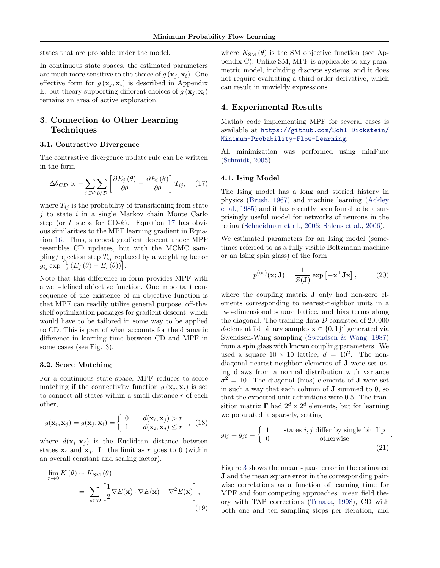<span id="page-4-0"></span>states that are probable under the model.

In continuous state spaces, the estimated parameters are much more sensitive to the choice of  $g(\mathbf{x}_i, \mathbf{x}_i)$ . One effective form for  $g(\mathbf{x}_i, \mathbf{x}_i)$  is described in Appendix E, but theory supporting different choices of  $g(\mathbf{x}_i, \mathbf{x}_i)$ remains an area of active exploration.

## 3. Connection to Other Learning Techniques

### 3.1. Contrastive Divergence

The contrastive divergence update rule can be written in the form

$$
\Delta\theta_{CD} \propto -\sum_{j \in \mathcal{D}} \sum_{i \notin \mathcal{D}} \left[ \frac{\partial E_j(\theta)}{\partial \theta} - \frac{\partial E_i(\theta)}{\partial \theta} \right] T_{ij}, \quad (17)
$$

where  $T_{ij}$  is the probability of transitioning from state  $j$  to state  $i$  in a single Markov chain Monte Carlo step (or  $k$  steps for CD- $k$ ). Equation 17 has obvious similarities to the MPF learning gradient in Equation [16.](#page-3-0) Thus, steepest gradient descent under MPF resembles CD updates, but with the MCMC sampling/rejection step  $T_{ij}$  replaced by a weighting factor  $g_{ij} \exp \left[ \frac{1}{2} \left( E_j \left( \theta \right) - E_i \left( \theta \right) \right) \right].$ 

Note that this difference in form provides MPF with a well-defined objective function. One important consequence of the existence of an objective function is that MPF can readily utilize general purpose, off-theshelf optimization packages for gradient descent, which would have to be tailored in some way to be applied to CD. This is part of what accounts for the dramatic difference in learning time between CD and MPF in some cases (see Fig. 3).

#### 3.2. Score Matching

For a continuous state space, MPF reduces to score matching if the connectivity function  $g(\mathbf{x}_i, \mathbf{x}_i)$  is set to connect all states within a small distance r of each other,

$$
g(\mathbf{x}_i, \mathbf{x}_j) = g(\mathbf{x}_j, \mathbf{x}_i) = \begin{cases} 0 & d(\mathbf{x}_i, \mathbf{x}_j) > r \\ 1 & d(\mathbf{x}_i, \mathbf{x}_j) \le r \end{cases}, (18)
$$

where  $d(\mathbf{x}_i, \mathbf{x}_j)$  is the Euclidean distance between states  $x_i$  and  $x_j$ . In the limit as r goes to 0 (within an overall constant and scaling factor),

$$
\lim_{r \to 0} K(\theta) \sim K_{\text{SM}}(\theta)
$$
  
= 
$$
\sum_{\mathbf{x} \in \mathcal{D}} \left[ \frac{1}{2} \nabla E(\mathbf{x}) \cdot \nabla E(\mathbf{x}) - \nabla^2 E(\mathbf{x}) \right],
$$
 (19)

where  $K_{\text{SM}}(\theta)$  is the SM objective function (see Appendix C). Unlike SM, MPF is applicable to any parametric model, including discrete systems, and it does not require evaluating a third order derivative, which can result in unwieldy expressions.

### 4. Experimental Results

Matlab code implementing MPF for several cases is available at [https://github.com/Sohl-Dickstein/](https://github.com/Sohl-Dickstein/Minimum-Probability-Flow-Learning) [Minimum-Probability-Flow-Learning](https://github.com/Sohl-Dickstein/Minimum-Probability-Flow-Learning).

All minimization was performed using minFunc [\(Schmidt,](#page-7-0) [2005\)](#page-7-0).

#### 4.1. Ising Model

The Ising model has a long and storied history in physics [\(Brush,](#page-7-0) [1967\)](#page-7-0) and machine learning [\(Ackley](#page-7-0) [et al.,](#page-7-0) [1985\)](#page-7-0) and it has recently been found to be a surprisingly useful model for networks of neurons in the retina [\(Schneidman et al.,](#page-7-0) [2006;](#page-7-0) [Shlens et al.,](#page-7-0) [2006\)](#page-7-0).

We estimated parameters for an Ising model (sometimes referred to as a fully visible Boltzmann machine or an Ising spin glass) of the form

$$
p^{(\infty)}(\mathbf{x}; \mathbf{J}) = \frac{1}{Z(\mathbf{J})} \exp\left[-\mathbf{x}^{\mathrm{T}} \mathbf{J} \mathbf{x}\right],\qquad(20)
$$

where the coupling matrix **J** only had non-zero elements corresponding to nearest-neighbor units in a two-dimensional square lattice, and bias terms along the diagonal. The training data  $D$  consisted of 20,000 d-element iid binary samples  $\mathbf{x} \in \{0,1\}^d$  generated via Swendsen-Wang sampling [\(Swendsen & Wang,](#page-7-0) [1987\)](#page-7-0) from a spin glass with known coupling parameters. We used a square  $10 \times 10$  lattice,  $d = 10^2$ . The nondiagonal nearest-neighbor elements of J were set using draws from a normal distribution with variance  $\sigma^2 = 10$ . The diagonal (bias) elements of **J** were set in such a way that each column of J summed to 0, so that the expected unit activations were 0.5. The transition matrix  $\Gamma$  had  $2^d \times 2^d$  elements, but for learning we populated it sparsely, setting

$$
g_{ij} = g_{ji} = \begin{cases} 1 & \text{states } i, j \text{ differ by single bit flip} \\ 0 & \text{otherwise} \end{cases}.
$$
 (21)

Figure [3](#page-5-0) shows the mean square error in the estimated J and the mean square error in the corresponding pairwise correlations as a function of learning time for MPF and four competing approaches: mean field theory with TAP corrections [\(Tanaka,](#page-7-0) [1998\)](#page-7-0), CD with both one and ten sampling steps per iteration, and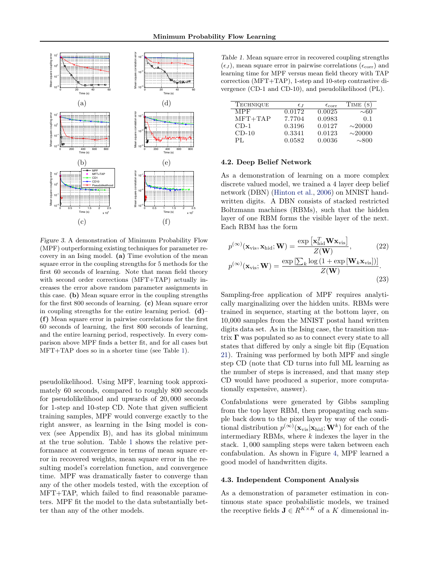<span id="page-5-0"></span>

Figure 3. A demonstration of Minimum Probability Flow (MPF) outperforming existing techniques for parameter recovery in an Ising model. (a) Time evolution of the mean square error in the coupling strengths for 5 methods for the first 60 seconds of learning. Note that mean field theory with second order corrections (MFT+TAP) actually increases the error above random parameter assignments in this case. (b) Mean square error in the coupling strengths for the first 800 seconds of learning. (c) Mean square error in coupling strengths for the entire learning period.  $(d)$ – (f) Mean square error in pairwise correlations for the first 60 seconds of learning, the first 800 seconds of learning, and the entire learning period, respectively. In every comparison above MPF finds a better fit, and for all cases but MFT+TAP does so in a shorter time (see Table 1).

pseudolikelihood. Using MPF, learning took approximately 60 seconds, compared to roughly 800 seconds for pseudolikelihood and upwards of 20, 000 seconds for 1-step and 10-step CD. Note that given sufficient training samples, MPF would converge exactly to the right answer, as learning in the Ising model is convex (see Appendix B), and has its global minimum at the true solution. Table 1 shows the relative performance at convergence in terms of mean square error in recovered weights, mean square error in the resulting model's correlation function, and convergence time. MPF was dramatically faster to converge than any of the other models tested, with the exception of MFT+TAP, which failed to find reasonable parameters. MPF fit the model to the data substantially better than any of the other models.

Table 1. Mean square error in recovered coupling strengths  $(\epsilon_J)$ , mean square error in pairwise correlations  $(\epsilon_{\text{corr}})$  and learning time for MPF versus mean field theory with TAP correction (MFT+TAP), 1-step and 10-step contrastive divergence (CD-1 and CD-10), and pseudolikelihood (PL).

| <b>TECHNIQUE</b> | $\epsilon_I$ | $\epsilon_{\rm corr}$ | TIME<br>(S)  |
|------------------|--------------|-----------------------|--------------|
| MPF              | 0.0172       | 0.0025                | $\sim\!\!60$ |
| $MFT+TAP$        | 7.7704       | 0.0983                | 0.1          |
| $CD-1$           | 0.3196       | 0.0127                | $\sim$ 20000 |
| $CD-10$          | 0.3341       | 0.0123                | $\sim$ 20000 |
| PІ.              | 0.0582       | 0.0036                | $\sim$ 800   |

#### 4.2. Deep Belief Network

As a demonstration of learning on a more complex discrete valued model, we trained a 4 layer deep belief network (DBN) [\(Hinton et al.,](#page-7-0) [2006\)](#page-7-0) on MNIST handwritten digits. A DBN consists of stacked restricted Boltzmann machines (RBMs), such that the hidden layer of one RBM forms the visible layer of the next. Each RBM has the form

$$
p^{(\infty)}(\mathbf{x}_{\text{vis}}, \mathbf{x}_{\text{hid}}; \mathbf{W}) = \frac{\exp\left[\mathbf{x}_{\text{hid}}^T \mathbf{W} \mathbf{x}_{\text{vis}}\right]}{Z(\mathbf{W})},
$$
(22)  

$$
p^{(\infty)}(\mathbf{x}_{\text{vis}}; \mathbf{W}) = \frac{\exp\left[\sum_{k} \log\left(1 + \exp\left[\mathbf{W}_{k} \mathbf{x}_{\text{vis}}\right]\right)\right]}{Z(\mathbf{W})}.
$$
(23)

Sampling-free application of MPF requires analytically marginalizing over the hidden units. RBMs were trained in sequence, starting at the bottom layer, on 10,000 samples from the MNIST postal hand written digits data set. As in the Ising case, the transition matrix  $\Gamma$  was populated so as to connect every state to all states that differed by only a single bit flip (Equation [21\)](#page-4-0). Training was performed by both MPF and single step CD (note that CD turns into full ML learning as the number of steps is increased, and that many step CD would have produced a superior, more computationally expensive, answer).

Confabulations were generated by Gibbs sampling from the top layer RBM, then propagating each sample back down to the pixel layer by way of the conditional distribution  $p^{(\infty)}(\mathbf{x}_{\text{vis}}|\mathbf{x}_{\text{hid}};\mathbf{W}^k)$  for each of the intermediary RBMs, where  $k$  indexes the layer in the stack. 1, 000 sampling steps were taken between each confabulation. As shown in Figure [4,](#page-6-0) MPF learned a good model of handwritten digits.

#### 4.3. Independent Component Analysis

As a demonstration of parameter estimation in continuous state space probabilistic models, we trained the receptive fields  $\mathbf{J} \in R^{K \times K}$  of a K dimensional in-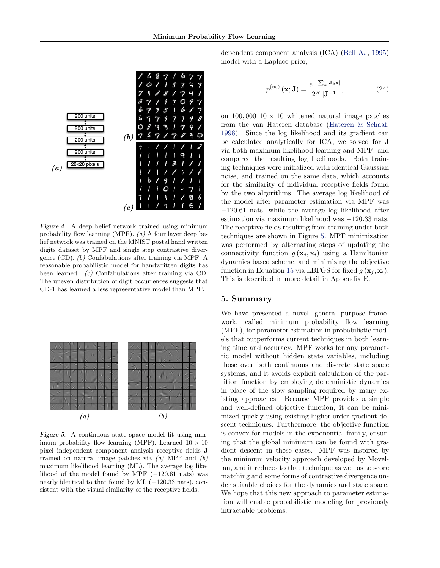<span id="page-6-0"></span>

Figure 4. A deep belief network trained using minimum probability flow learning (MPF).  $(a)$  A four layer deep belief network was trained on the MNIST postal hand written digits dataset by MPF and single step contrastive divergence (CD). (b) Confabulations after training via MPF. A reasonable probabilistic model for handwritten digits has been learned. (c) Confabulations after training via CD. The uneven distribution of digit occurrences suggests that CD-1 has learned a less representative model than MPF.



Figure 5. A continuous state space model fit using minimum probability flow learning (MPF). Learned  $10 \times 10$ pixel independent component analysis receptive fields J trained on natural image patches via  $(a)$  MPF and  $(b)$ maximum likelihood learning (ML). The average log likelihood of the model found by MPF  $(-120.61)$  nats) was nearly identical to that found by ML (−120.33 nats), consistent with the visual similarity of the receptive fields.

dependent component analysis (ICA) [\(Bell AJ,](#page-7-0) [1995\)](#page-7-0) model with a Laplace prior,

$$
p^{(\infty)}(\mathbf{x}; \mathbf{J}) = \frac{e^{-\sum_{k} |\mathbf{J}_k \mathbf{x}|}}{2^K |\mathbf{J}^{-1}|},
$$
 (24)

on 100,000  $10 \times 10$  whitened natural image patches from the van Hateren database [\(Hateren & Schaaf,](#page-7-0) [1998\)](#page-7-0). Since the log likelihood and its gradient can be calculated analytically for ICA, we solved for J via both maximum likelihood learning and MPF, and compared the resulting log likelihoods. Both training techniques were initialized with identical Gaussian noise, and trained on the same data, which accounts for the similarity of individual receptive fields found by the two algorithms. The average log likelihood of the model after parameter estimation via MPF was −120.61 nats, while the average log likelihood after estimation via maximum likelihood was −120.33 nats. The receptive fields resulting from training under both techniques are shown in Figure 5. MPF minimization was performed by alternating steps of updating the connectivity function  $g(\mathbf{x}_i, \mathbf{x}_i)$  using a Hamiltonian dynamics based scheme, and minimizing the objective function in Equation [15](#page-3-0) via LBFGS for fixed  $q(\mathbf{x}_i, \mathbf{x}_i)$ . This is described in more detail in Appendix E.

## 5. Summary

We have presented a novel, general purpose framework, called minimum probability flow learning (MPF), for parameter estimation in probabilistic models that outperforms current techniques in both learning time and accuracy. MPF works for any parametric model without hidden state variables, including those over both continuous and discrete state space systems, and it avoids explicit calculation of the partition function by employing deterministic dynamics in place of the slow sampling required by many existing approaches. Because MPF provides a simple and well-defined objective function, it can be minimized quickly using existing higher order gradient descent techniques. Furthermore, the objective function is convex for models in the exponential family, ensuring that the global minimum can be found with gradient descent in these cases. MPF was inspired by the minimum velocity approach developed by Movellan, and it reduces to that technique as well as to score matching and some forms of contrastive divergence under suitable choices for the dynamics and state space. We hope that this new approach to parameter estimation will enable probabilistic modeling for previously intractable problems.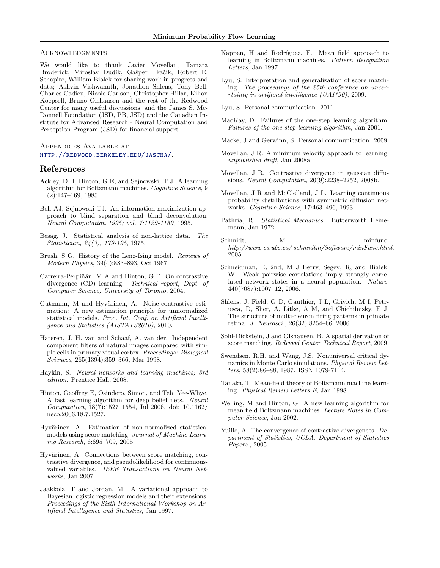#### <span id="page-7-0"></span>**ACKNOWLEDGMENTS**

We would like to thank Javier Movellan, Tamara Broderick, Miroslav Dudík, Gašper Tkačik, Robert E. Schapire, William Bialek for sharing work in progress and data; Ashvin Vishwanath, Jonathon Shlens, Tony Bell, Charles Cadieu, Nicole Carlson, Christopher Hillar, Kilian Koepsell, Bruno Olshausen and the rest of the Redwood Center for many useful discussions; and the James S. Mc-Donnell Foundation (JSD, PB, JSD) and the Canadian Institute for Advanced Research - Neural Computation and Perception Program (JSD) for financial support.

### Appendices Available at <http://redwood.berkeley.edu/jascha/>.

#### References

- Ackley, D H, Hinton, G E, and Sejnowski, T J. A learning algorithm for Boltzmann machines. Cognitive Science, 9 (2):147–169, 1985.
- Bell AJ, Sejnowski TJ. An information-maximization approach to blind separation and blind deconvolution. Neural Computation 1995; vol. 7:1129-1159, 1995.
- Besag, J. Statistical analysis of non-lattice data. The Statistician, 24(3), 179-195, 1975.
- Brush, S G. History of the Lenz-Ising model. Reviews of Modern Physics, 39(4):883–893, Oct 1967.
- Carreira-Perpiñán, M A and Hinton, G E. On contrastive divergence (CD) learning. Technical report, Dept. of Computer Science, University of Toronto, 2004.
- Gutmann, M and Hyvärinen, A. Noise-contrastive estimation: A new estimation principle for unnormalized statistical models. Proc. Int. Conf. on Artificial Intelligence and Statistics (AISTATS2010), 2010.
- Hateren, J. H. van and Schaaf, A. van der. Independent component filters of natural images compared with simple cells in primary visual cortex. Proceedings: Biological Sciences, 265(1394):359–366, Mar 1998.
- Haykin, S. Neural networks and learning machines; 3rd edition. Prentice Hall, 2008.
- Hinton, Geoffrey E, Osindero, Simon, and Teh, Yee-Whye. A fast learning algorithm for deep belief nets. Neural Computation, 18(7):1527–1554, Jul 2006. doi: 10.1162/ neco.2006.18.7.1527.
- Hyvärinen, A. Estimation of non-normalized statistical models using score matching. Journal of Machine Learning Research, 6:695–709, 2005.
- Hyvärinen, A. Connections between score matching, contrastive divergence, and pseudolikelihood for continuousvalued variables. IEEE Transactions on Neural Networks, Jan 2007.
- Jaakkola, T and Jordan, M. A variational approach to Bayesian logistic regression models and their extensions. Proceedings of the Sixth International Workshop on Artificial Intelligence and Statistics, Jan 1997.
- Kappen, H and Rodríguez, F. Mean field approach to learning in Boltzmann machines. Pattern Recognition Letters, Jan 1997.
- Lyu, S. Interpretation and generalization of score matching. The proceedings of the 25th conference on uncerrtainty in artificial intelligence (UAI\*90), 2009.
- Lyu, S. Personal communication. 2011.
- MacKay, D. Failures of the one-step learning algorithm. Failures of the one-step learning algorithm, Jan 2001.
- Macke, J and Gerwinn, S. Personal communication. 2009.
- Movellan, J R. A minimum velocity approach to learning. unpublished draft, Jan 2008a.
- Movellan, J R. Contrastive divergence in gaussian diffusions. Neural Computation, 20(9):2238–2252, 2008b.
- Movellan, J R and McClelland, J L. Learning continuous probability distributions with symmetric diffusion networks. Cognitive Science, 17:463–496, 1993.
- Pathria, R. Statistical Mechanics. Butterworth Heinemann, Jan 1972.
- Schmidt, M. minfunc. http://www.cs.ubc.ca/ schmidtm/Software/minFunc.html, 2005.
- Schneidman, E, 2nd, M J Berry, Segev, R, and Bialek, W. Weak pairwise correlations imply strongly correlated network states in a neural population. Nature, 440(7087):1007–12, 2006.
- Shlens, J, Field, G D, Gauthier, J L, Grivich, M I, Petrusca, D, Sher, A, Litke, A M, and Chichilnisky, E J. The structure of multi-neuron firing patterns in primate retina. J. Neurosci., 26(32):8254–66, 2006.
- Sohl-Dickstein, J and Olshausen, B. A spatial derivation of score matching. Redwood Center Technical Report, 2009.
- Swendsen, R.H. and Wang, J.S. Nonuniversal critical dynamics in Monte Carlo simulations. Physical Review Letters, 58(2):86–88, 1987. ISSN 1079-7114.
- Tanaka, T. Mean-field theory of Boltzmann machine learning. Physical Review Letters E, Jan 1998.
- Welling, M and Hinton, G. A new learning algorithm for mean field Boltzmann machines. Lecture Notes in Computer Science, Jan 2002.
- Yuille, A. The convergence of contrastive divergences. Department of Statistics, UCLA. Department of Statistics Papers., 2005.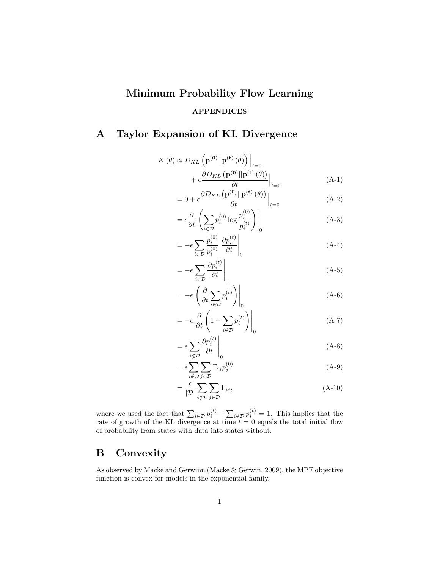# Minimum Probability Flow Learning APPENDICES

## A Taylor Expansion of KL Divergence

$$
K(\theta) \approx D_{KL} \left( \mathbf{p}^{(\mathbf{0})} || \mathbf{p}^{(\mathbf{t})}(\theta) \right) \Big|_{t=0}
$$
  
+  $\epsilon \frac{\partial D_{KL} (\mathbf{p}^{(\mathbf{0})} || \mathbf{p}^{(\mathbf{t})}(\theta))}{\partial t} \Big|_{t=0}$  (A-1)

$$
= 0 + \epsilon \frac{\partial D_{KL}(\mathbf{p}^{(0)}||\mathbf{p}^{(t)}(\theta))}{\partial t}\Big|_{t=0}
$$
 (A-2)

$$
= \epsilon \frac{\partial}{\partial t} \left( \sum_{i \in \mathcal{D}} p_i^{(0)} \log \frac{p_i^{(0)}}{p_i^{(t)}} \right) \Big|_0 \tag{A-3}
$$

$$
= -\epsilon \sum_{i \in \mathcal{D}} \frac{p_i^{(0)}}{p_i^{(0)}} \frac{\partial p_i^{(t)}}{\partial t} \Big|_0 \tag{A-4}
$$

$$
= -\epsilon \sum_{i \in \mathcal{D}} \frac{\partial p_i^{(t)}}{\partial t} \Big|_0 \tag{A-5}
$$

$$
= -\epsilon \left( \frac{\partial}{\partial t} \sum_{i \in \mathcal{D}} p_i^{(t)} \right) \Big|_0 \tag{A-6}
$$

$$
= -\epsilon \left. \frac{\partial}{\partial t} \left( 1 - \sum_{i \notin \mathcal{D}} p_i^{(t)} \right) \right|_0 \tag{A-7}
$$

$$
= \epsilon \sum_{i \notin \mathcal{D}} \frac{\partial p_i^{(t)}}{\partial t} \Big|_0 \tag{A-8}
$$

$$
= \epsilon \sum_{i \notin \mathcal{D}} \sum_{j \in \mathcal{D}} \Gamma_{ij} p_j^{(0)} \tag{A-9}
$$

$$
= \frac{\epsilon}{|\mathcal{D}|} \sum_{i \notin \mathcal{D}} \sum_{j \in \mathcal{D}} \Gamma_{ij}, \tag{A-10}
$$

where we used the fact that  $\sum_{i \in \mathcal{D}} p_i^{(t)} + \sum_{i \notin \mathcal{D}} p_i^{(t)} = 1$ . This implies that the rate of growth of the KL divergence at time  $t = 0$  equals the total initial flow of probability from states with data into states without.

## B Convexity

As observed by Macke and Gerwinn (Macke & Gerwin, 2009), the MPF objective function is convex for models in the exponential family.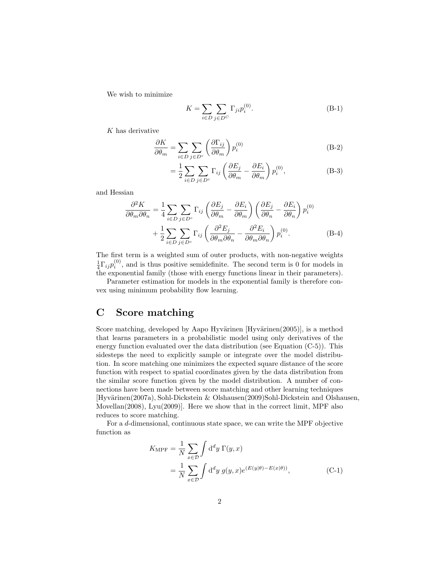We wish to minimize

$$
K = \sum_{i \in D} \sum_{j \in D^C} \Gamma_{ji} p_i^{(0)}.
$$
 (B-1)

 $K$  has derivative

$$
\frac{\partial K}{\partial \theta_m} = \sum_{i \in D} \sum_{j \in D^c} \left( \frac{\partial \Gamma_{ij}}{\partial \theta_m} \right) p_i^{(0)} \tag{B-2}
$$

$$
= \frac{1}{2} \sum_{i \in D} \sum_{j \in D^c} \Gamma_{ij} \left( \frac{\partial E_j}{\partial \theta_m} - \frac{\partial E_i}{\partial \theta_m} \right) p_i^{(0)}, \tag{B-3}
$$

and Hessian

$$
\frac{\partial^2 K}{\partial \theta_m \partial \theta_n} = \frac{1}{4} \sum_{i \in D} \sum_{j \in D^c} \Gamma_{ij} \left( \frac{\partial E_j}{\partial \theta_m} - \frac{\partial E_i}{\partial \theta_m} \right) \left( \frac{\partial E_j}{\partial \theta_n} - \frac{\partial E_i}{\partial \theta_n} \right) p_i^{(0)} + \frac{1}{2} \sum_{i \in D} \sum_{j \in D^c} \Gamma_{ij} \left( \frac{\partial^2 E_j}{\partial \theta_m \partial \theta_n} - \frac{\partial^2 E_i}{\partial \theta_m \partial \theta_n} \right) p_i^{(0)}.
$$
 (B-4)

The first term is a weighted sum of outer products, with non-negative weights  $\frac{1}{4}\Gamma_{ij}p_i^{(0)}$ , and is thus positive semidefinite. The second term is 0 for models in the exponential family (those with energy functions linear in their parameters).

Parameter estimation for models in the exponential family is therefore convex using minimum probability flow learning.

## C Score matching

Score matching, developed by Aapo Hyvärinen  $[Hv\sigma(2005)]$ , is a method that learns parameters in a probabilistic model using only derivatives of the energy function evaluated over the data distribution (see Equation (C-5)). This sidesteps the need to explicitly sample or integrate over the model distribution. In score matching one minimizes the expected square distance of the score function with respect to spatial coordinates given by the data distribution from the similar score function given by the model distribution. A number of connections have been made between score matching and other learning techniques [Hyvärinen(2007a), Sohl-Dickstein & Olshausen(2009)Sohl-Dickstein and Olshausen, Movellan(2008), Lyu(2009)]. Here we show that in the correct limit, MPF also reduces to score matching.

For a d-dimensional, continuous state space, we can write the MPF objective function as

$$
K_{\text{MPF}} = \frac{1}{N} \sum_{x \in \mathcal{D}} \int \mathrm{d}^d y \, \Gamma(y, x)
$$
  
= 
$$
\frac{1}{N} \sum_{x \in \mathcal{D}} \int \mathrm{d}^d y \, g(y, x) e^{(E(y|\theta) - E(x|\theta))},
$$
 (C-1)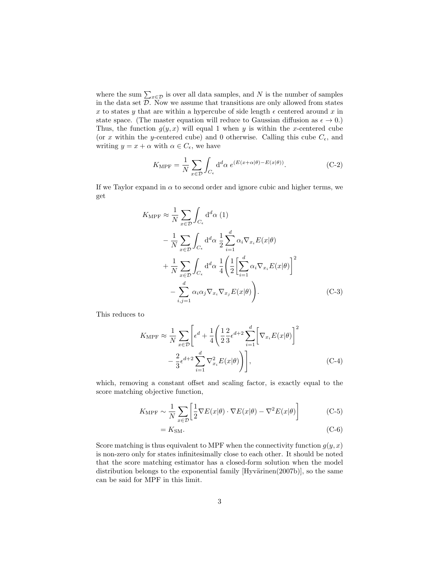where the sum  $\sum_{x \in \mathcal{D}}$  is over all data samples, and N is the number of samples in the data set  $D$ . Now we assume that transitions are only allowed from states x to states y that are within a hypercube of side length  $\epsilon$  centered around x in state space. (The master equation will reduce to Gaussian diffusion as  $\epsilon \to 0$ .) Thus, the function  $g(y, x)$  will equal 1 when y is within the x-centered cube (or x within the y-centered cube) and 0 otherwise. Calling this cube  $C_{\epsilon}$ , and writing  $y = x + \alpha$  with  $\alpha \in C_{\epsilon}$ , we have

$$
K_{\text{MPF}} = \frac{1}{N} \sum_{x \in \mathcal{D}} \int_{C_{\epsilon}} d^d \alpha \ e^{(E(x + \alpha | \theta) - E(x | \theta))}.
$$
 (C-2)

If we Taylor expand in  $\alpha$  to second order and ignore cubic and higher terms, we get

$$
K_{\text{MPF}} \approx \frac{1}{N} \sum_{x \in \mathcal{D}} \int_{C_{\epsilon}} d^d \alpha (1)
$$
  

$$
- \frac{1}{N} \sum_{x \in \mathcal{D}} \int_{C_{\epsilon}} d^d \alpha \frac{1}{2} \sum_{i=1}^d \alpha_i \nabla_{x_i} E(x | \theta)
$$
  

$$
+ \frac{1}{N} \sum_{x \in \mathcal{D}} \int_{C_{\epsilon}} d^d \alpha \frac{1}{4} \left( \frac{1}{2} \left[ \sum_{i=1}^d \alpha_i \nabla_{x_i} E(x | \theta) \right]^2
$$
  

$$
- \sum_{i,j=1}^d \alpha_i \alpha_j \nabla_{x_i} \nabla_{x_j} E(x | \theta) \right).
$$
 (C-3)

This reduces to

$$
K_{\text{MPF}} \approx \frac{1}{N} \sum_{x \in \mathcal{D}} \left[ \epsilon^d + \frac{1}{4} \left( \frac{1}{2} \frac{2}{3} \epsilon^{d+2} \sum_{i=1}^d \left[ \nabla_{x_i} E(x|\theta) \right]^2 - \frac{2}{3} \epsilon^{d+2} \sum_{i=1}^d \nabla_{x_i}^2 E(x|\theta) \right) \right], \tag{C-4}
$$

which, removing a constant offset and scaling factor, is exactly equal to the score matching objective function,

$$
K_{\text{MPF}} \sim \frac{1}{N} \sum_{x \in \mathcal{D}} \left[ \frac{1}{2} \nabla E(x|\theta) \cdot \nabla E(x|\theta) - \nabla^2 E(x|\theta) \right] \tag{C-5}
$$

$$
=K_{\rm SM}.\tag{C-6}
$$

Score matching is thus equivalent to MPF when the connectivity function  $g(y, x)$ is non-zero only for states infinitesimally close to each other. It should be noted that the score matching estimator has a closed-form solution when the model distribution belongs to the exponential family  $[Hyvärinen(2007b)]$ , so the same can be said for MPF in this limit.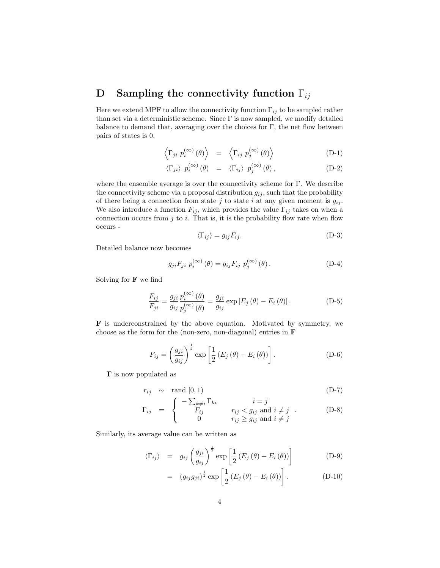## D Sampling the connectivity function  $\Gamma_{ij}$

Here we extend MPF to allow the connectivity function  $\Gamma_{ij}$  to be sampled rather than set via a deterministic scheme. Since  $\Gamma$  is now sampled, we modify detailed balance to demand that, averaging over the choices for Γ, the net flow between pairs of states is 0,

$$
\left\langle \Gamma_{ji} \ p_i^{(\infty)}(\theta) \right\rangle = \left\langle \Gamma_{ij} \ p_j^{(\infty)}(\theta) \right\rangle \tag{D-1}
$$

$$
\langle \Gamma_{ji} \rangle \ p_i^{(\infty)} (\theta) = \langle \Gamma_{ij} \rangle \ p_j^{(\infty)} (\theta), \qquad (D-2)
$$

where the ensemble average is over the connectivity scheme for Γ. We describe the connectivity scheme via a proposal distribution  $g_{ij}$ , such that the probability of there being a connection from state j to state i at any given moment is  $g_{ij}$ . We also introduce a function  $F_{ij}$ , which provides the value  $\Gamma_{ij}$  takes on when a connection occurs from  $j$  to  $i$ . That is, it is the probability flow rate when flow occurs -

$$
\langle \Gamma_{ij} \rangle = g_{ij} F_{ij}.
$$
 (D-3)

Detailed balance now becomes

$$
g_{ji}F_{ji} p_i^{(\infty)}(\theta) = g_{ij}F_{ij} p_j^{(\infty)}(\theta).
$$
 (D-4)

Solving for  $\bf{F}$  we find

$$
\frac{F_{ij}}{F_{ji}} = \frac{g_{ji}}{g_{ij}} \frac{p_i^{(\infty)}(\theta)}{p_j^{(\infty)}(\theta)} = \frac{g_{ji}}{g_{ij}} \exp\left[E_j(\theta) - E_i(\theta)\right].
$$
\n(D-5)

F is underconstrained by the above equation. Motivated by symmetry, we choose as the form for the (non-zero, non-diagonal) entries in F

$$
F_{ij} = \left(\frac{g_{ji}}{g_{ij}}\right)^{\frac{1}{2}} \exp\left[\frac{1}{2}\left(E_j\left(\theta\right) - E_i\left(\theta\right)\right)\right].
$$
 (D-6)

Γ is now populated as

$$
r_{ij} \sim \text{rand }[0,1) \tag{D-7}
$$

$$
\Gamma_{ij} = \begin{cases}\n-\sum_{k \neq i} \Gamma_{ki} & i = j \\
F_{ij} & r_{ij} < g_{ij} \text{ and } i \neq j \\
0 & r_{ij} \ge g_{ij} \text{ and } i \neq j\n\end{cases} .
$$
\n(D-8)

Similarly, its average value can be written as

$$
\langle \Gamma_{ij} \rangle = g_{ij} \left( \frac{g_{ji}}{g_{ij}} \right)^{\frac{1}{2}} \exp \left[ \frac{1}{2} \left( E_j \left( \theta \right) - E_i \left( \theta \right) \right) \right]
$$
 (D-9)

$$
= (g_{ij}g_{ji})^{\frac{1}{2}} \exp\left[\frac{1}{2}\left(E_j\left(\theta\right) - E_i\left(\theta\right)\right)\right]. \tag{D-10}
$$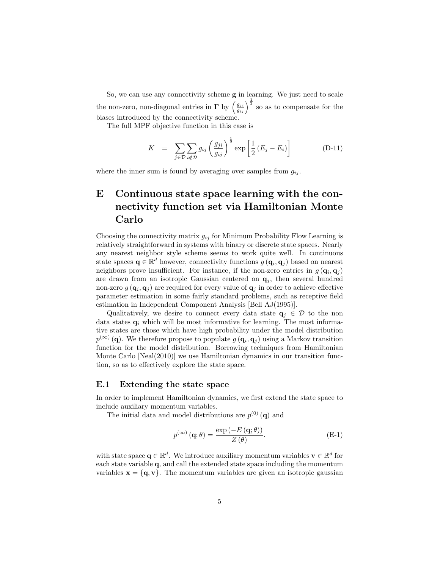So, we can use any connectivity scheme g in learning. We just need to scale the non-zero, non-diagonal entries in  $\Gamma$  by  $\left(\frac{g_{ji}}{g_{ij}}\right)^{\frac{1}{2}}$  so as to compensate for the biases introduced by the connectivity scheme.

The full MPF objective function in this case is

$$
K = \sum_{j \in \mathcal{D}} \sum_{i \notin \mathcal{D}} g_{ij} \left( \frac{g_{ji}}{g_{ij}} \right)^{\frac{1}{2}} \exp \left[ \frac{1}{2} \left( E_j - E_i \right) \right]
$$
 (D-11)

where the inner sum is found by averaging over samples from  $g_{ij}$ .

## E Continuous state space learning with the connectivity function set via Hamiltonian Monte Carlo

Choosing the connectivity matrix  $g_{ij}$  for Minimum Probability Flow Learning is relatively straightforward in systems with binary or discrete state spaces. Nearly any nearest neighbor style scheme seems to work quite well. In continuous state spaces  $\mathbf{q} \in \mathbb{R}^d$  however, connectivity functions  $g(\mathbf{q}_i, \mathbf{q}_j)$  based on nearest neighbors prove insufficient. For instance, if the non-zero entries in  $g(\mathbf{q}_i, \mathbf{q}_j)$ are drawn from an isotropic Gaussian centered on  $q_i$ , then several hundred non-zero  $g(\mathbf{q}_i, \mathbf{q}_j)$  are required for every value of  $\mathbf{q}_j$  in order to achieve effective parameter estimation in some fairly standard problems, such as receptive field estimation in Independent Component Analysis [Bell AJ(1995)].

Qualitatively, we desire to connect every data state  $q_i \in \mathcal{D}$  to the non data states  $q_i$  which will be most informative for learning. The most informative states are those which have high probability under the model distribution  $p^{(\infty)}(\mathbf{q})$ . We therefore propose to populate  $g(\mathbf{q}_i, \mathbf{q}_j)$  using a Markov transition function for the model distribution. Borrowing techniques from Hamiltonian Monte Carlo [Neal(2010)] we use Hamiltonian dynamics in our transition function, so as to effectively explore the state space.

### E.1 Extending the state space

In order to implement Hamiltonian dynamics, we first extend the state space to include auxiliary momentum variables.

The initial data and model distributions are  $p^{(0)}(\mathbf{q})$  and

$$
p^{(\infty)}(\mathbf{q};\theta) = \frac{\exp(-E(\mathbf{q};\theta))}{Z(\theta)}.
$$
 (E-1)

with state space  $\mathbf{q} \in \mathbb{R}^d$ . We introduce auxiliary momentum variables  $\mathbf{v} \in \mathbb{R}^d$  for each state variable q, and call the extended state space including the momentum variables  $\mathbf{x} = {\mathbf{q}, \mathbf{v}}$ . The momentum variables are given an isotropic gaussian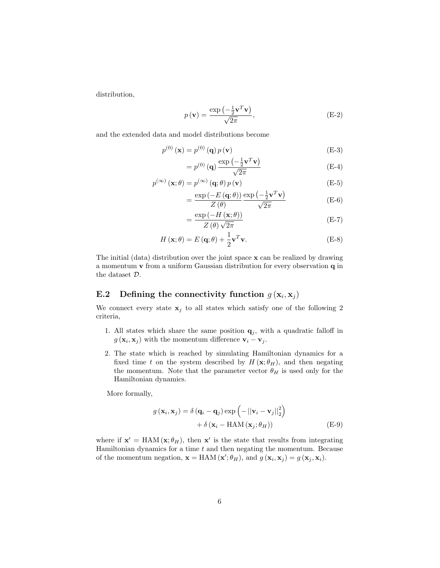distribution,

$$
p(\mathbf{v}) = \frac{\exp\left(-\frac{1}{2}\mathbf{v}^T\mathbf{v}\right)}{\sqrt{2\pi}},
$$
\n(E-2)

and the extended data and model distributions become

$$
p^{(0)}\left(\mathbf{x}\right) = p^{(0)}\left(\mathbf{q}\right)p\left(\mathbf{v}\right) \tag{E-3}
$$

$$
=p^{(0)}\left(\mathbf{q}\right)\frac{\exp\left(-\frac{1}{2}\mathbf{v}^{T}\mathbf{v}\right)}{\sqrt{2\pi}}\tag{E-4}
$$

$$
p^{(\infty)}(\mathbf{x};\theta) = p^{(\infty)}(\mathbf{q};\theta) p(\mathbf{v})
$$
 (E-5)

$$
= \frac{\exp\left(-E\left(\mathbf{q};\theta\right)\right)}{Z\left(\theta\right)} \frac{\exp\left(-\frac{1}{2}\mathbf{v}^T\mathbf{v}\right)}{\sqrt{2\pi}} \tag{E-6}
$$

$$
=\frac{\exp\left(-H\left(\mathbf{x};\theta\right)\right)}{Z\left(\theta\right)\sqrt{2\pi}}\tag{E-7}
$$

$$
H(\mathbf{x};\theta) = E(\mathbf{q};\theta) + \frac{1}{2}\mathbf{v}^T\mathbf{v}.
$$
 (E-8)

The initial (data) distribution over the joint space  $x$  can be realized by drawing a momentum v from a uniform Gaussian distribution for every observation q in the dataset D.

## E.2 Defining the connectivity function  $g(\mathbf{x}_i, \mathbf{x}_j)$

We connect every state  $x_j$  to all states which satisfy one of the following 2 criteria,

- 1. All states which share the same position  $q_j$ , with a quadratic falloff in  $g(\mathbf{x}_i, \mathbf{x}_j)$  with the momentum difference  $\mathbf{v}_i - \mathbf{v}_j$ .
- 2. The state which is reached by simulating Hamiltonian dynamics for a fixed time t on the system described by  $H(\mathbf{x}; \theta_H)$ , and then negating the momentum. Note that the parameter vector  $\theta_H$  is used only for the Hamiltonian dynamics.

More formally,

$$
g(\mathbf{x}_{i}, \mathbf{x}_{j}) = \delta (\mathbf{q}_{i} - \mathbf{q}_{j}) \exp \left(-\|\mathbf{v}_{i} - \mathbf{v}_{j}\|_{2}^{2}\right) + \delta (\mathbf{x}_{i} - \text{HAM}(\mathbf{x}_{j}; \theta_{H}))
$$
(E-9)

where if  $\mathbf{x}' = \text{HAM}(\mathbf{x}; \theta_H)$ , then  $\mathbf{x}'$  is the state that results from integrating Hamiltonian dynamics for a time  $t$  and then negating the momentum. Because of the momentum negation,  $\mathbf{x} = \text{HAM}(\mathbf{x}'; \theta_H)$ , and  $g(\mathbf{x}_i, \mathbf{x}_j) = g(\mathbf{x}_j, \mathbf{x}_i)$ .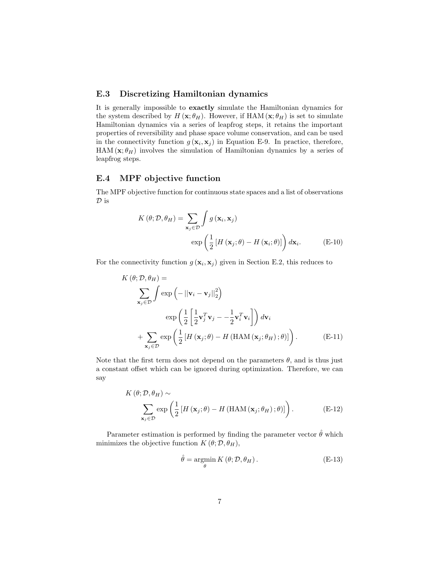## E.3 Discretizing Hamiltonian dynamics

It is generally impossible to exactly simulate the Hamiltonian dynamics for the system described by  $H(\mathbf{x}; \theta_H)$ . However, if HAM  $(\mathbf{x}; \theta_H)$  is set to simulate Hamiltonian dynamics via a series of leapfrog steps, it retains the important properties of reversibility and phase space volume conservation, and can be used in the connectivity function  $g(\mathbf{x}_i, \mathbf{x}_j)$  in Equation E-9. In practice, therefore, HAM  $(\mathbf{x}; \theta_H)$  involves the simulation of Hamiltonian dynamics by a series of leapfrog steps.

## E.4 MPF objective function

The MPF objective function for continuous state spaces and a list of observations  $\mathcal{D}$  is

$$
K(\theta; \mathcal{D}, \theta_H) = \sum_{\mathbf{x}_j \in \mathcal{D}} \int g(\mathbf{x}_i, \mathbf{x}_j)
$$

$$
\exp\left(\frac{1}{2} \left[ H(\mathbf{x}_j; \theta) - H(\mathbf{x}_i; \theta) \right] \right) d\mathbf{x}_i.
$$
(E-10)

For the connectivity function  $g(\mathbf{x}_i, \mathbf{x}_j)$  given in Section E.2, this reduces to

$$
K(\theta; \mathcal{D}, \theta_H) =
$$
\n
$$
\sum_{\mathbf{x}_j \in \mathcal{D}} \int \exp\left(-\left\|\mathbf{v}_i - \mathbf{v}_j\right\|_2^2\right)
$$
\n
$$
\exp\left(\frac{1}{2}\left[\frac{1}{2}\mathbf{v}_j^T\mathbf{v}_j - -\frac{1}{2}\mathbf{v}_i^T\mathbf{v}_i\right]\right) d\mathbf{v}_i
$$
\n
$$
+ \sum_{\mathbf{x}_j \in \mathcal{D}} \exp\left(\frac{1}{2}\left[H\left(\mathbf{x}_j; \theta\right) - H\left(\text{HAM}\left(\mathbf{x}_j; \theta_H\right); \theta\right)\right]\right). \tag{E-11}
$$

Note that the first term does not depend on the parameters  $\theta$ , and is thus just a constant offset which can be ignored during optimization. Therefore, we can say

$$
K(\theta; \mathcal{D}, \theta_H) \sim \sum_{\mathbf{x}_j \in \mathcal{D}} \exp\left(\frac{1}{2} \left[ H\left(\mathbf{x}_j; \theta\right) - H\left(\text{HAM}\left(\mathbf{x}_j; \theta_H\right); \theta\right) \right] \right). \tag{E-12}
$$

Parameter estimation is performed by finding the parameter vector  $\hat{\theta}$  which minimizes the objective function  $K(\theta; \mathcal{D}, \theta_H)$ ,

$$
\hat{\theta} = \underset{\theta}{\operatorname{argmin}} K(\theta; \mathcal{D}, \theta_H). \tag{E-13}
$$